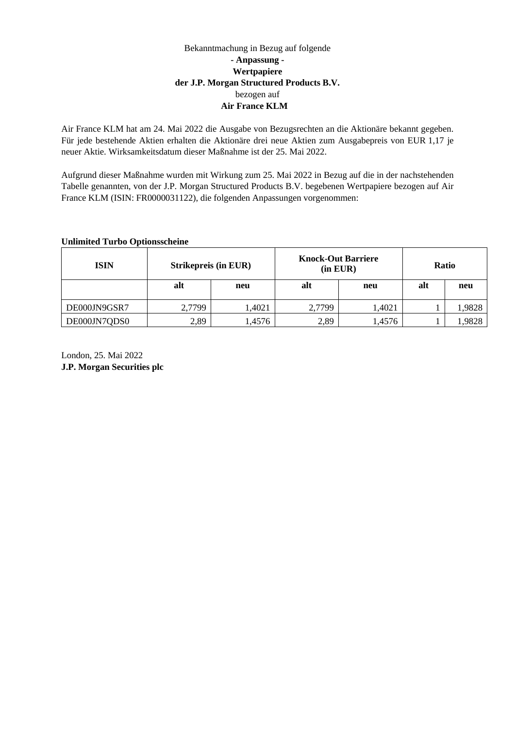## Bekanntmachung in Bezug auf folgende **- Anpassung - Wertpapiere der J.P. Morgan Structured Products B.V.** bezogen auf **Air France KLM**

Air France KLM hat am 24. Mai 2022 die Ausgabe von Bezugsrechten an die Aktionäre bekannt gegeben. Für jede bestehende Aktien erhalten die Aktionäre drei neue Aktien zum Ausgabepreis von EUR 1,17 je neuer Aktie. Wirksamkeitsdatum dieser Maßnahme ist der 25. Mai 2022.

Aufgrund dieser Maßnahme wurden mit Wirkung zum 25. Mai 2022 in Bezug auf die in der nachstehenden Tabelle genannten, von der J.P. Morgan Structured Products B.V. begebenen Wertpapiere bezogen auf Air France KLM (ISIN: FR0000031122), die folgenden Anpassungen vorgenommen:

## **Unlimited Turbo Optionsscheine**

| <b>ISIN</b>  | <b>Strikepreis (in EUR)</b> |        | <b>Knock-Out Barriere</b><br>$(in$ EUR $)$ |        | <b>Ratio</b> |        |
|--------------|-----------------------------|--------|--------------------------------------------|--------|--------------|--------|
|              | alt                         | neu    | alt                                        | neu    | alt          | neu    |
| DE000JN9GSR7 | 2,7799                      | 1,4021 | 2,7799                                     | 1,4021 |              | 1,9828 |
| DE000JN7QDS0 | 2,89                        | 1,4576 | 2,89                                       | 1,4576 |              | 9828,  |

London, 25. Mai 2022 **J.P. Morgan Securities plc**